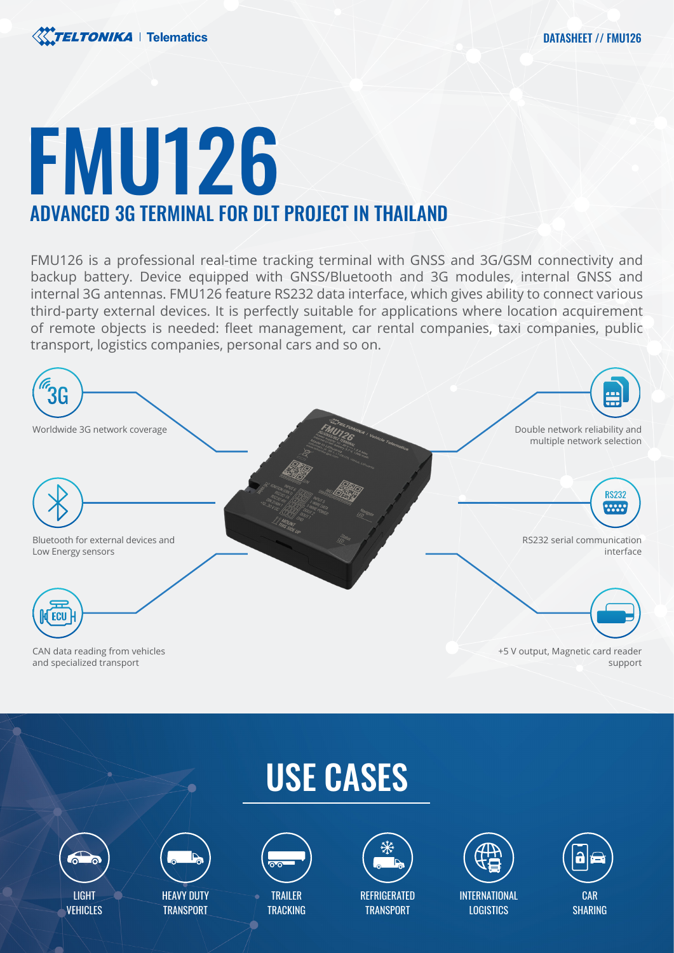

## FMU126 ADVANCED 3G TERMINAL FOR DLT PROJECT IN THAILAND

FMU126 is a professional real-time tracking terminal with GNSS and 3G/GSM connectivity and backup battery. Device equipped with GNSS/Bluetooth and 3G modules, internal GNSS and internal 3G antennas. FMU126 feature RS232 data interface, which gives ability to connect various third-party external devices. It is perfectly suitable for applications where location acquirement of remote objects is needed: fleet management, car rental companies, taxi companies, public transport, logistics companies, personal cars and so on.











HEAVY DUTY **TRANSPORT** 



TRAILER **TRACKING** 



**REFRIGERATED TRANSPORT** 



INTERNATIONAL **LOGISTICS** 



SHARING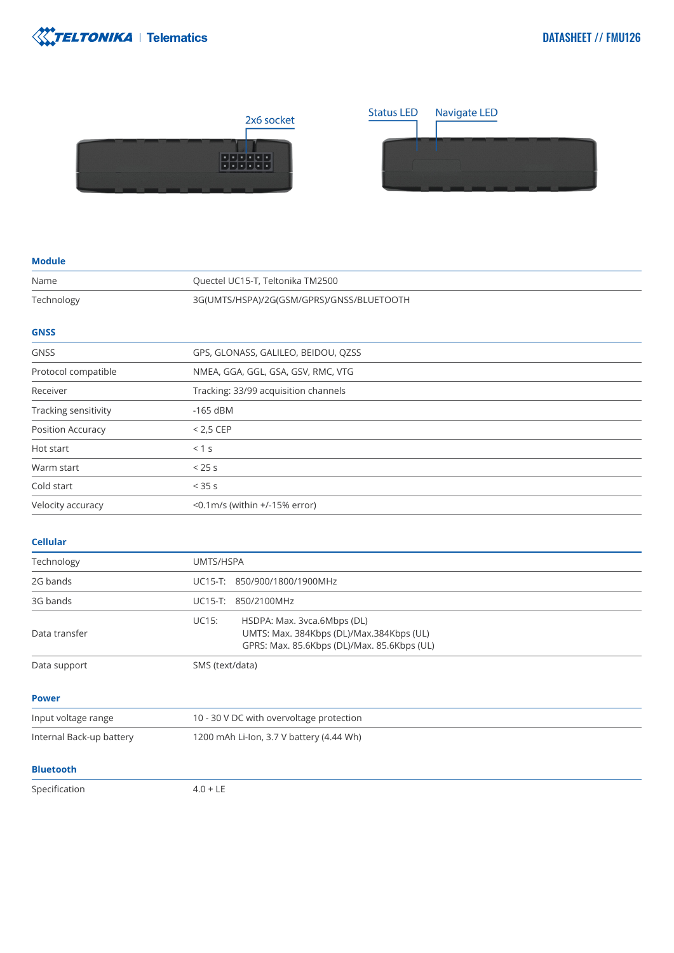



## **Module**

| Name                 | Quectel UC15-T, Teltonika TM2500          |
|----------------------|-------------------------------------------|
| Technology           | 3G(UMTS/HSPA)/2G(GSM/GPRS)/GNSS/BLUETOOTH |
| <b>GNSS</b>          |                                           |
| <b>GNSS</b>          | GPS, GLONASS, GALILEO, BEIDOU, QZSS       |
| Protocol compatible  | NMEA, GGA, GGL, GSA, GSV, RMC, VTG        |
| Receiver             | Tracking: 33/99 acquisition channels      |
| Tracking sensitivity | $-165$ dBM                                |
| Position Accuracy    | $< 2.5$ CEP                               |
| Hot start            | < 1 s                                     |
| Warm start           | < 25s                                     |
| Cold start           | $<$ 35 s                                  |
| Velocity accuracy    | $<$ 0.1m/s (within +/-15% error)          |

## **Cellular**

| Technology               | UMTS/HSPA                                                                                                                              |
|--------------------------|----------------------------------------------------------------------------------------------------------------------------------------|
| 2G bands                 | UC15-T: 850/900/1800/1900MHz                                                                                                           |
| 3G bands                 | UC15-T: 850/2100MHz                                                                                                                    |
| Data transfer            | <b>UC15:</b><br>HSDPA: Max. 3vca.6Mbps (DL)<br>UMTS: Max. 384Kbps (DL)/Max.384Kbps (UL)<br>GPRS: Max. 85.6Kbps (DL)/Max. 85.6Kbps (UL) |
| Data support             | SMS (text/data)                                                                                                                        |
| <b>Power</b>             |                                                                                                                                        |
| Input voltage range      | 10 - 30 V DC with overvoltage protection                                                                                               |
| Internal Back-up battery | 1200 mAh Li-Ion, 3.7 V battery (4.44 Wh)                                                                                               |
| <b>Bluetooth</b>         |                                                                                                                                        |

Specification 4.0 + LE